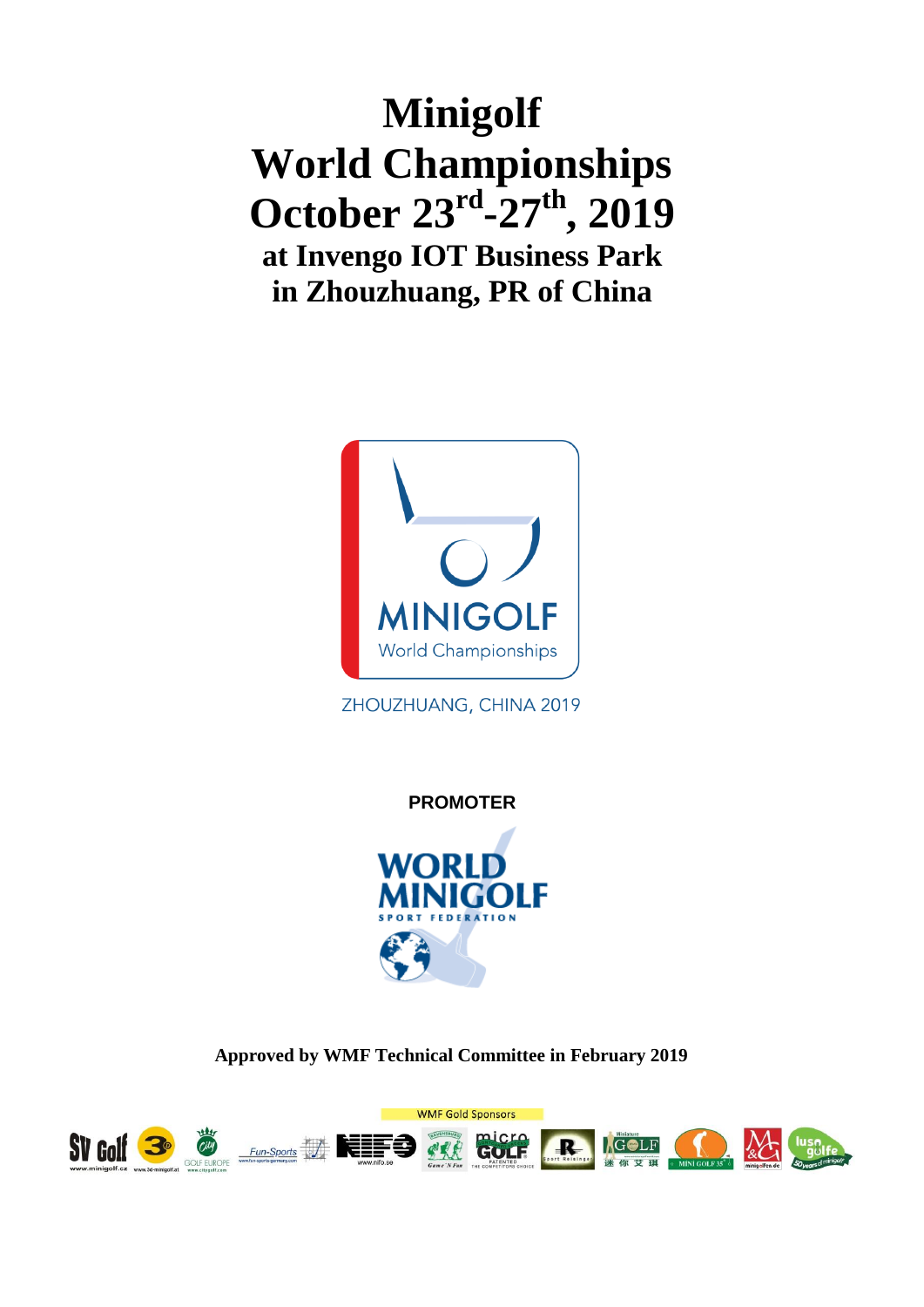# **Minigolf World Championships October 23rd -27th , 2019 at Invengo IOT Business Park in Zhouzhuang, PR of China**



ZHOUZHUANG, CHINA 2019

**PROMOTER**



**Approved by WMF Technical Committee in February 2019**

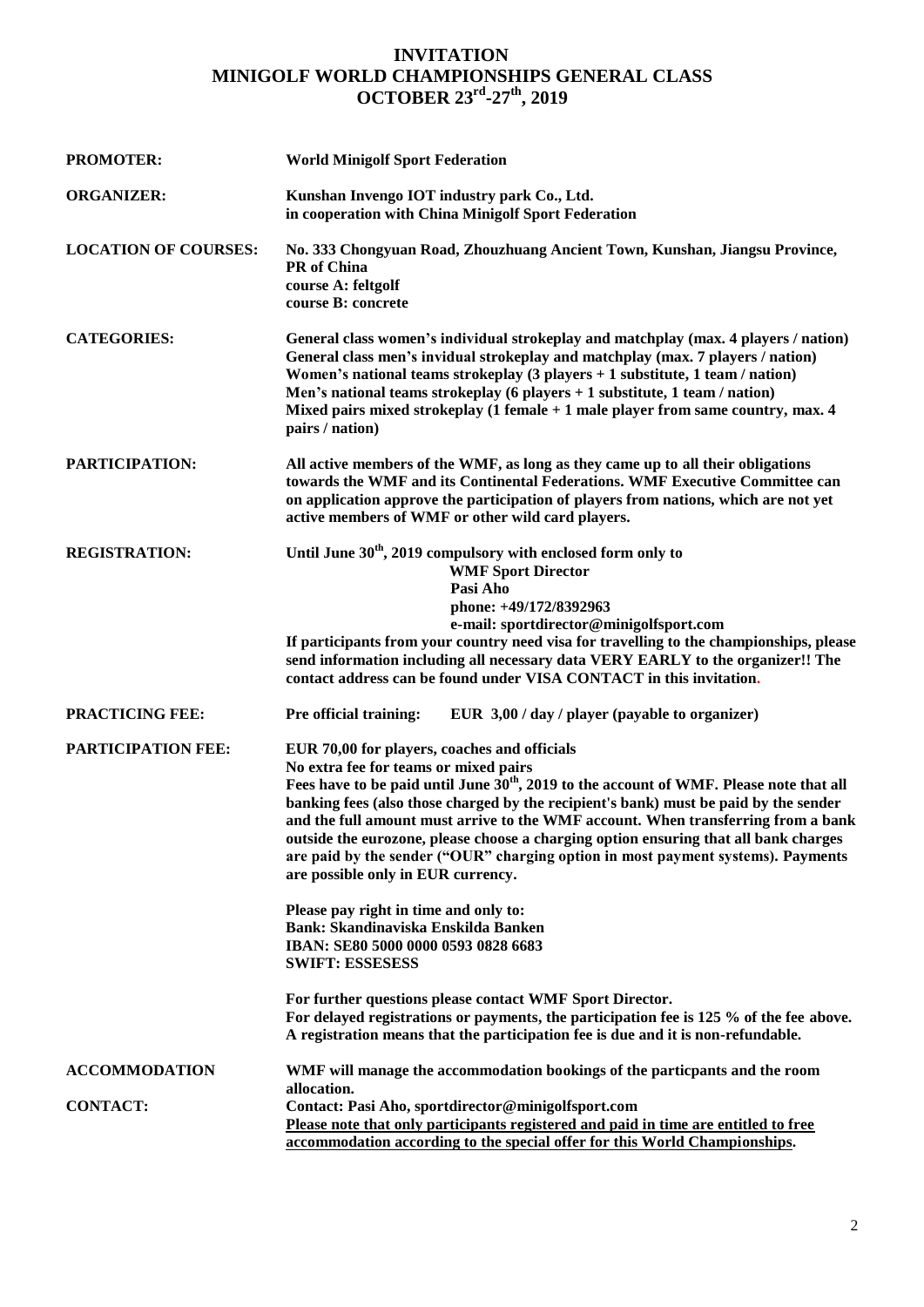### **INVITATION MINIGOLF WORLD CHAMPIONSHIPS GENERAL CLASS OCTOBER 23rd -27th , 2019**

| <b>PROMOTER:</b>            | <b>World Minigolf Sport Federation</b>                                                                                                                                                                                                                                                                                                                                                                                                                                                                                                                                                      |
|-----------------------------|---------------------------------------------------------------------------------------------------------------------------------------------------------------------------------------------------------------------------------------------------------------------------------------------------------------------------------------------------------------------------------------------------------------------------------------------------------------------------------------------------------------------------------------------------------------------------------------------|
| <b>ORGANIZER:</b>           | Kunshan Invengo IOT industry park Co., Ltd.<br>in cooperation with China Minigolf Sport Federation                                                                                                                                                                                                                                                                                                                                                                                                                                                                                          |
| <b>LOCATION OF COURSES:</b> | No. 333 Chongyuan Road, Zhouzhuang Ancient Town, Kunshan, Jiangsu Province,<br>PR of China<br>course A: feltgolf<br>course B: concrete                                                                                                                                                                                                                                                                                                                                                                                                                                                      |
| <b>CATEGORIES:</b>          | General class women's individual strokeplay and matchplay (max. 4 players / nation)<br>General class men's invidual strokeplay and matchplay (max. 7 players / nation)<br>Women's national teams strokeplay $(3$ players + 1 substitute, 1 team / nation)<br>Men's national teams strokeplay (6 players $+1$ substitute, 1 team / nation)<br>Mixed pairs mixed strokeplay $(1$ female $+1$ male player from same country, max. 4<br>pairs / nation)                                                                                                                                         |
| PARTICIPATION:              | All active members of the WMF, as long as they came up to all their obligations<br>towards the WMF and its Continental Federations. WMF Executive Committee can<br>on application approve the participation of players from nations, which are not yet<br>active members of WMF or other wild card players.                                                                                                                                                                                                                                                                                 |
| <b>REGISTRATION:</b>        | Until June 30 <sup>th</sup> , 2019 compulsory with enclosed form only to<br><b>WMF Sport Director</b><br>Pasi Aho<br>phone: +49/172/8392963<br>e-mail: sportdirector@minigolfsport.com<br>If participants from your country need visa for travelling to the championships, please<br>send information including all necessary data VERY EARLY to the organizer!! The<br>contact address can be found under VISA CONTACT in this invitation.                                                                                                                                                 |
| <b>PRACTICING FEE:</b>      | Pre official training:<br>EUR $3,00 / day / player$ (payable to organizer)                                                                                                                                                                                                                                                                                                                                                                                                                                                                                                                  |
| PARTICIPATION FEE:          | EUR 70,00 for players, coaches and officials<br>No extra fee for teams or mixed pairs<br>Fees have to be paid until June 30 <sup>th</sup> , 2019 to the account of WMF. Please note that all<br>banking fees (also those charged by the recipient's bank) must be paid by the sender<br>and the full amount must arrive to the WMF account. When transferring from a bank<br>outside the eurozone, please choose a charging option ensuring that all bank charges<br>are paid by the sender ("OUR" charging option in most payment systems). Payments<br>are possible only in EUR currency. |
|                             | Please pay right in time and only to:<br><b>Bank: Skandinaviska Enskilda Banken</b><br>IBAN: SE80 5000 0000 0593 0828 6683<br><b>SWIFT: ESSESESS</b>                                                                                                                                                                                                                                                                                                                                                                                                                                        |
|                             | For further questions please contact WMF Sport Director.<br>For delayed registrations or payments, the participation fee is 125 % of the fee above.<br>A registration means that the participation fee is due and it is non-refundable.                                                                                                                                                                                                                                                                                                                                                     |
| <b>ACCOMMODATION</b>        | WMF will manage the accommodation bookings of the particpants and the room<br>allocation.                                                                                                                                                                                                                                                                                                                                                                                                                                                                                                   |
| <b>CONTACT:</b>             | Contact: Pasi Aho, sportdirector@minigolfsport.com<br>Please note that only participants registered and paid in time are entitled to free<br>accommodation according to the special offer for this World Championships.                                                                                                                                                                                                                                                                                                                                                                     |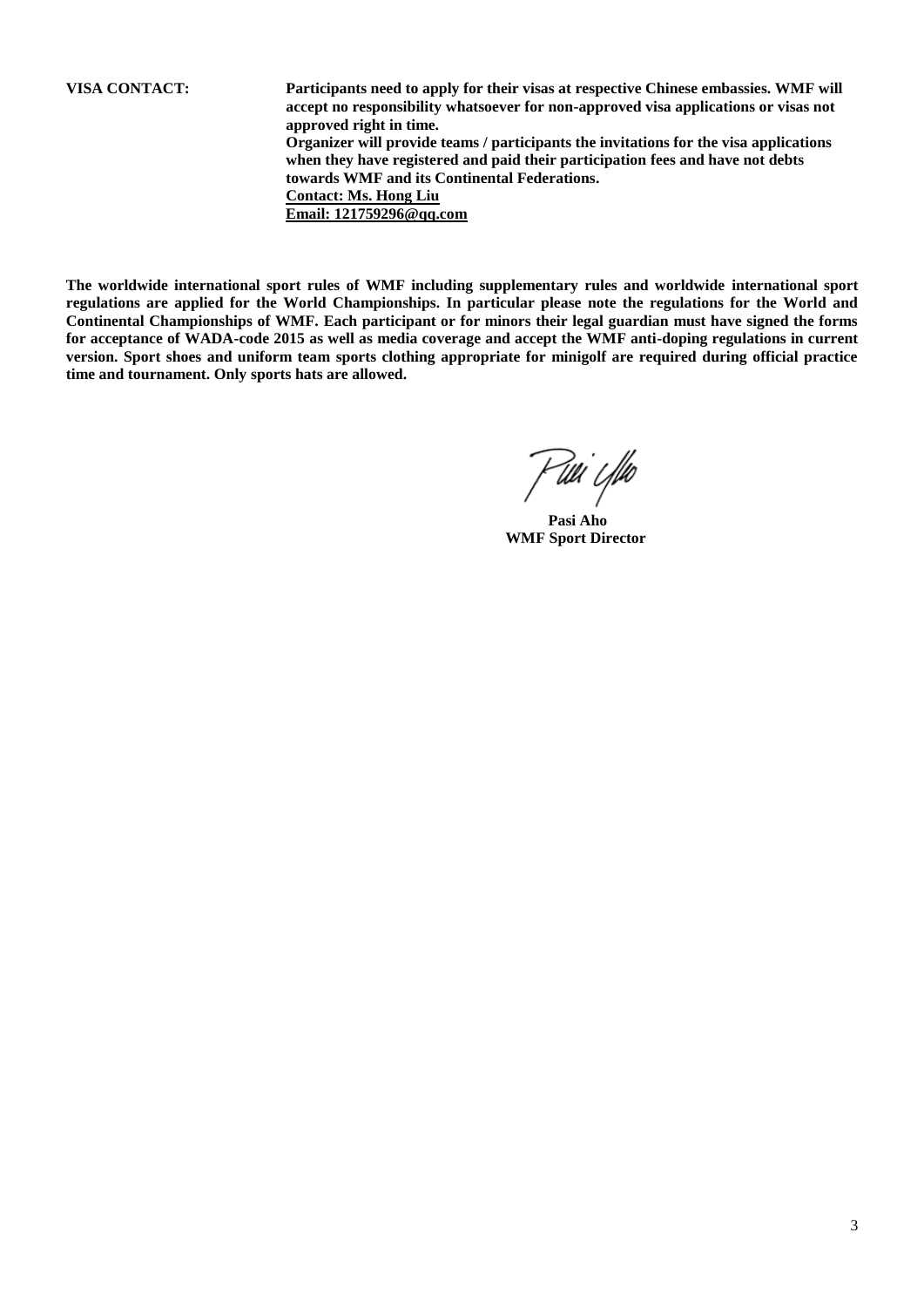**VISA CONTACT: Participants need to apply for their visas at respective Chinese embassies. WMF will accept no responsibility whatsoever for non-approved visa applications or visas not approved right in time. Organizer will provide teams / participants the invitations for the visa applications when they have registered and paid their participation fees and have not debts towards WMF and its Continental Federations. Contact: Ms. Hong Liu Email: 121759296@qq.com**

**The worldwide international sport rules of WMF including supplementary rules and worldwide international sport regulations are applied for the World Championships. In particular please note the regulations for the World and Continental Championships of WMF. Each participant or for minors their legal guardian must have signed the forms for acceptance of WADA-code 2015 as well as media coverage and accept the WMF anti-doping regulations in current version. Sport shoes and uniform team sports clothing appropriate for minigolf are required during official practice time and tournament. Only sports hats are allowed.**

Kuu'i Ybo

 **Pasi Aho WMF Sport Director**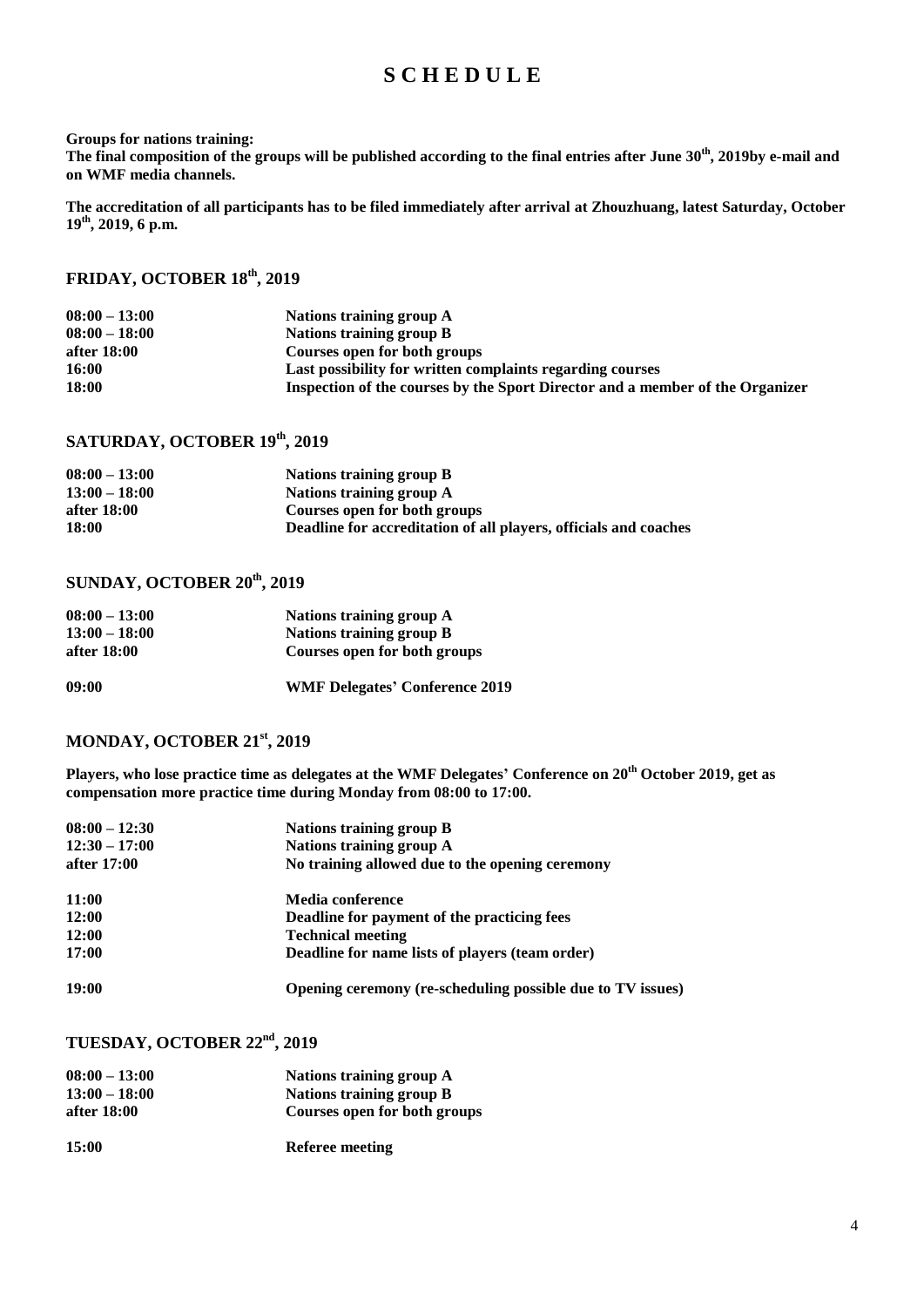### **S C H E D U L E**

#### **Groups for nations training:**

**The final composition of the groups will be published according to the final entries after June 30 th, 2019by e-mail and on WMF media channels.** 

**The accreditation of all participants has to be filed immediately after arrival at Zhouzhuang, latest Saturday, October 19th , 2019, 6 p.m.**

### **FRIDAY, OCTOBER 18th , 2019**

| $08:00 - 13:00$ | Nations training group A                                                      |
|-----------------|-------------------------------------------------------------------------------|
| $08:00 - 18:00$ | Nations training group B                                                      |
| after 18:00     | Courses open for both groups                                                  |
| 16:00           | Last possibility for written complaints regarding courses                     |
| 18:00           | Inspection of the courses by the Sport Director and a member of the Organizer |

### **SATURDAY, OCTOBER 19th , 2019**

| $08:00 - 13:00$ | Nations training group B                                         |
|-----------------|------------------------------------------------------------------|
| $13:00 - 18:00$ | Nations training group A                                         |
| after 18:00     | Courses open for both groups                                     |
| 18:00           | Deadline for accreditation of all players, officials and coaches |

### **SUNDAY, OCTOBER 20th , 2019**

| $08:00 - 13:00$ | Nations training group A              |
|-----------------|---------------------------------------|
| $13:00 - 18:00$ | Nations training group B              |
| after 18:00     | Courses open for both groups          |
| 09:00           | <b>WMF Delegates' Conference 2019</b> |

### **MONDAY, OCTOBER 21st , 2019**

**Players, who lose practice time as delegates at the WMF Delegates' Conference on 20th October 2019, get as compensation more practice time during Monday from 08:00 to 17:00.**

| $08:00 - 12:30$ | Nations training group B                                   |
|-----------------|------------------------------------------------------------|
| $12:30 - 17:00$ | Nations training group A                                   |
| after 17:00     | No training allowed due to the opening ceremony            |
| 11:00           | Media conference                                           |
| 12:00           | Deadline for payment of the practicing fees                |
| 12:00           | <b>Technical meeting</b>                                   |
| 17:00           | Deadline for name lists of players (team order)            |
| 19:00           | Opening ceremony (re-scheduling possible due to TV issues) |

### **TUESDAY, OCTOBER 22nd , 2019**

| $08:00 - 13:00$ | Nations training group A     |
|-----------------|------------------------------|
| $13:00 - 18:00$ | Nations training group B     |
| after 18:00     | Courses open for both groups |
| 15:00           | <b>Referee meeting</b>       |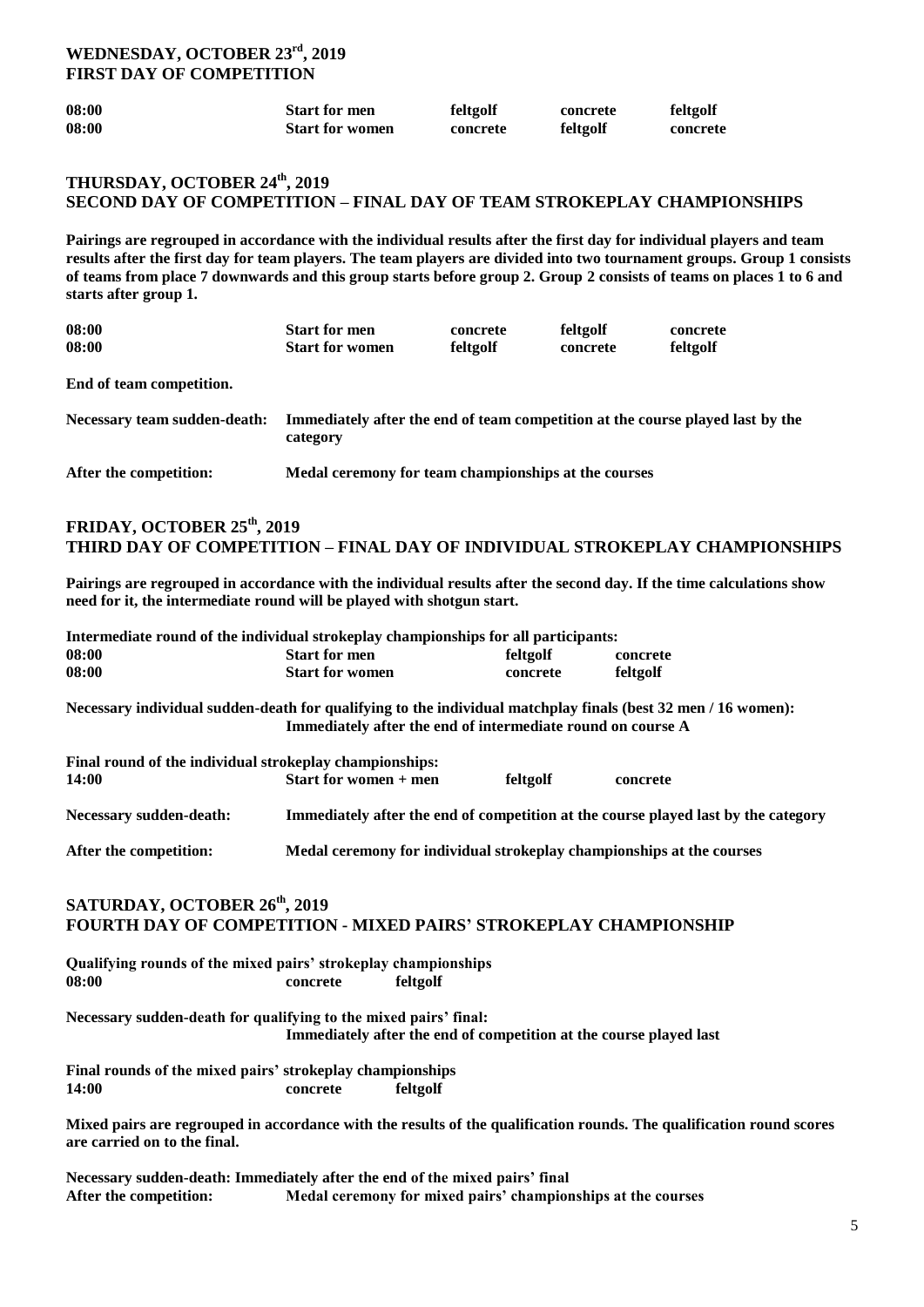### **WEDNESDAY, OCTOBER 23rd , 2019 FIRST DAY OF COMPETITION**

| 08:00 | <b>Start for men</b>   | feltgolf | concrete | feltgolf |
|-------|------------------------|----------|----------|----------|
| 08:00 | <b>Start for women</b> | concrete | feltgolf | concrete |

### **THURSDAY, OCTOBER 24th , 2019 SECOND DAY OF COMPETITION – FINAL DAY OF TEAM STROKEPLAY CHAMPIONSHIPS**

**Pairings are regrouped in accordance with the individual results after the first day for individual players and team results after the first day for team players. The team players are divided into two tournament groups. Group 1 consists of teams from place 7 downwards and this group starts before group 2. Group 2 consists of teams on places 1 to 6 and starts after group 1.** 

| 08:00<br>08:00               | <b>Start for men</b><br><b>Start for women</b>       | concrete<br>feltgolf | feltgolf<br>concrete | concrete<br>feltgolf                                                           |
|------------------------------|------------------------------------------------------|----------------------|----------------------|--------------------------------------------------------------------------------|
| End of team competition.     |                                                      |                      |                      |                                                                                |
| Necessary team sudden-death: | category                                             |                      |                      | Immediately after the end of team competition at the course played last by the |
| After the competition:       | Medal ceremony for team championships at the courses |                      |                      |                                                                                |

### **FRIDAY, OCTOBER 25th, 2019 THIRD DAY OF COMPETITION – FINAL DAY OF INDIVIDUAL STROKEPLAY CHAMPIONSHIPS**

**Pairings are regrouped in accordance with the individual results after the second day. If the time calculations show need for it, the intermediate round will be played with shotgun start.**

| Intermediate round of the individual strokeplay championships for all participants: |                        |          |          |
|-------------------------------------------------------------------------------------|------------------------|----------|----------|
| 08:00                                                                               | <b>Start for men</b>   | feltgolf | concrete |
| 08:00                                                                               | <b>Start for women</b> | concrete | feltgolf |

**Necessary individual sudden-death for qualifying to the individual matchplay finals (best 32 men / 16 women): Immediately after the end of intermediate round on course A**

| Final round of the individual strokeplay championships: |                              |          |                                                                                    |
|---------------------------------------------------------|------------------------------|----------|------------------------------------------------------------------------------------|
| 14:00                                                   | <b>Start for women + men</b> | feltgolf | concrete                                                                           |
| Necessary sudden-death:                                 |                              |          | Immediately after the end of competition at the course played last by the category |

#### **SATURDAY, OCTOBER 26th , 2019 FOURTH DAY OF COMPETITION - MIXED PAIRS' STROKEPLAY CHAMPIONSHIP**

**After the competition: Medal ceremony for individual strokeplay championships at the courses**

|                              | Qualifying rounds of the mixed pairs' strokeplay championships              |          |                                                                                                                      |
|------------------------------|-----------------------------------------------------------------------------|----------|----------------------------------------------------------------------------------------------------------------------|
| 08:00                        | concrete                                                                    | feltgolf |                                                                                                                      |
|                              | Necessary sudden-death for qualifying to the mixed pairs' final:            |          |                                                                                                                      |
|                              |                                                                             |          | Immediately after the end of competition at the course played last                                                   |
|                              | Final rounds of the mixed pairs' strokeplay championships                   |          |                                                                                                                      |
| 14:00                        | concrete                                                                    | feltgolf |                                                                                                                      |
| are carried on to the final. |                                                                             |          | Mixed pairs are regrouped in accordance with the results of the qualification rounds. The qualification round scores |
|                              | Necessary sudden-death: Immediately after the end of the mixed pairs' final |          |                                                                                                                      |

**After the competition: Medal ceremony for mixed pairs' championships at the courses**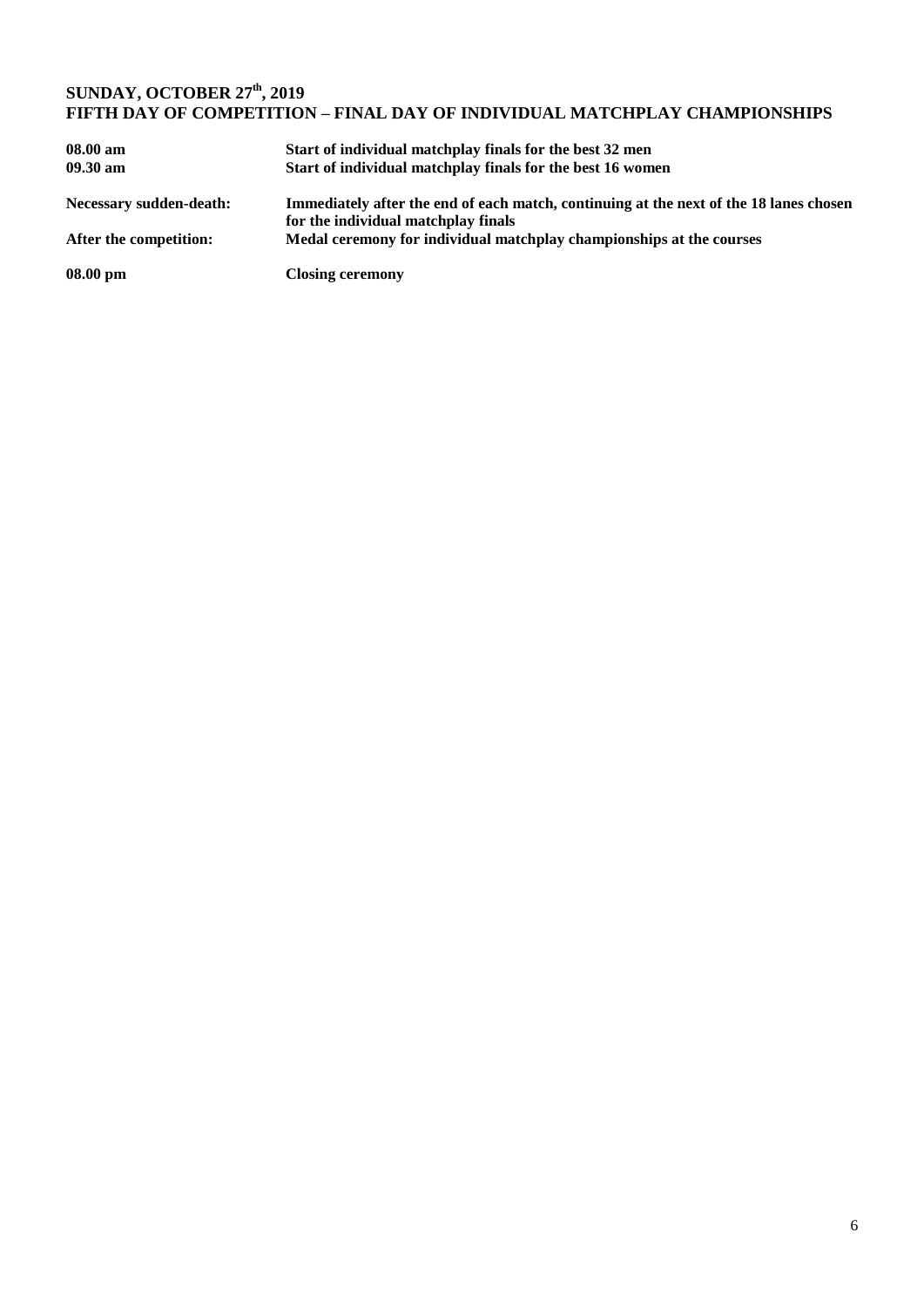### **SUNDAY, OCTOBER 27th , 2019 FIFTH DAY OF COMPETITION – FINAL DAY OF INDIVIDUAL MATCHPLAY CHAMPIONSHIPS**

| 08.00 am                       | Start of individual matchplay finals for the best 32 men                                                                      |
|--------------------------------|-------------------------------------------------------------------------------------------------------------------------------|
| $09.30 \text{ am}$             | Start of individual matchplay finals for the best 16 women                                                                    |
| <b>Necessary sudden-death:</b> | Immediately after the end of each match, continuing at the next of the 18 lanes chosen<br>for the individual matchplay finals |
| After the competition:         | Medal ceremony for individual matchplay championships at the courses                                                          |
| $08.00 \text{ pm}$             | <b>Closing ceremony</b>                                                                                                       |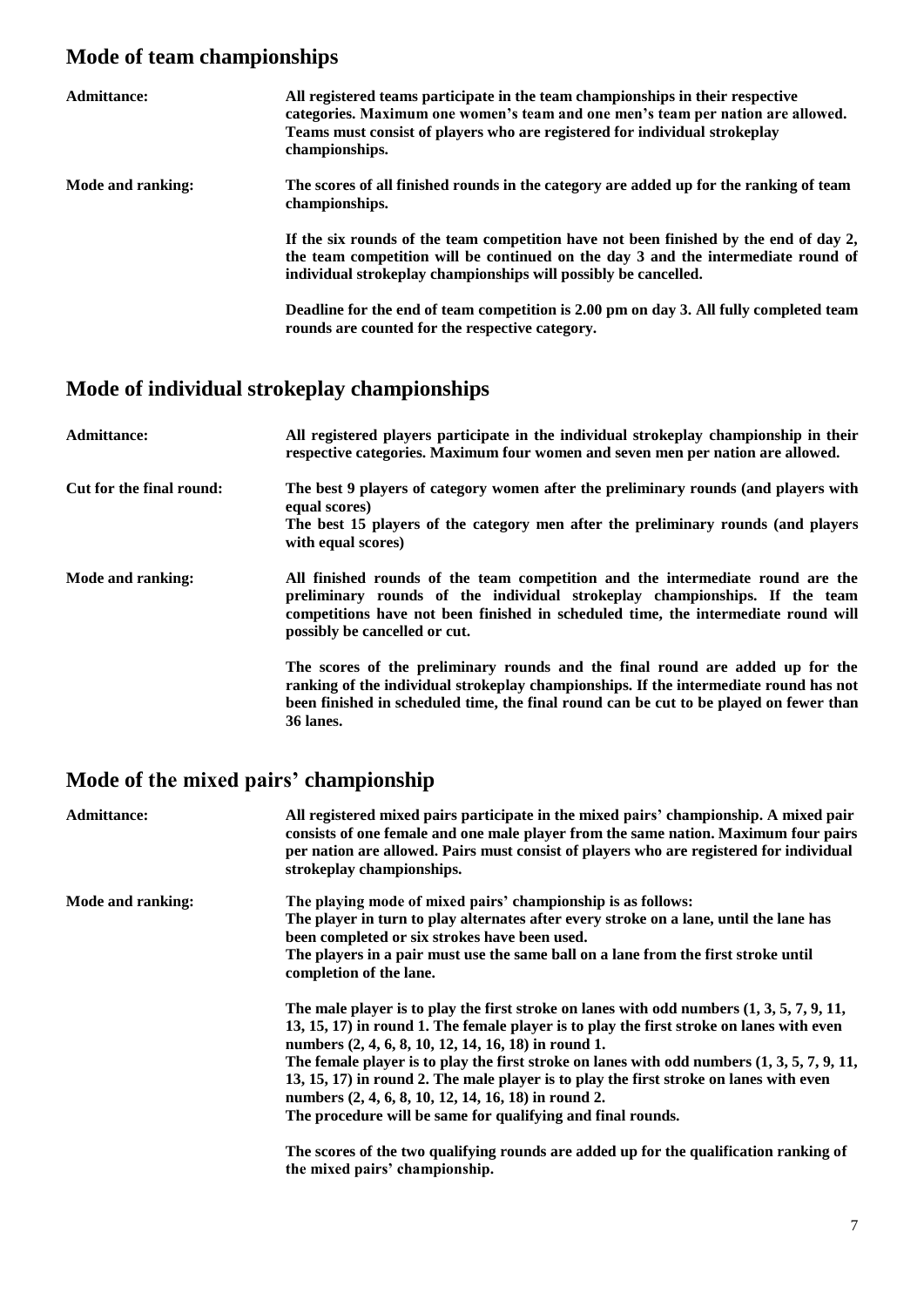# **Mode of team championships**

| Admittance:       | All registered teams participate in the team championships in their respective<br>categories. Maximum one women's team and one men's team per nation are allowed.<br>Teams must consist of players who are registered for individual strokeplay<br>championships. |
|-------------------|-------------------------------------------------------------------------------------------------------------------------------------------------------------------------------------------------------------------------------------------------------------------|
| Mode and ranking: | The scores of all finished rounds in the category are added up for the ranking of team<br>championships.                                                                                                                                                          |
|                   | If the six rounds of the team competition have not been finished by the end of day 2,<br>the team competition will be continued on the day 3 and the intermediate round of<br>individual strokeplay championships will possibly be cancelled.                     |
|                   | Deadline for the end of team competition is 2.00 pm on day 3. All fully completed team<br>rounds are counted for the respective category.                                                                                                                         |

# **Mode of individual strokeplay championships**

| <b>Admittance:</b>       | All registered players participate in the individual strokeplay championship in their<br>respective categories. Maximum four women and seven men per nation are allowed.                                                                                                            |
|--------------------------|-------------------------------------------------------------------------------------------------------------------------------------------------------------------------------------------------------------------------------------------------------------------------------------|
| Cut for the final round: | The best 9 players of category women after the preliminary rounds (and players with<br>equal scores)<br>The best 15 players of the category men after the preliminary rounds (and players<br>with equal scores)                                                                     |
| Mode and ranking:        | All finished rounds of the team competition and the intermediate round are the<br>preliminary rounds of the individual strokeplay championships. If the team<br>competitions have not been finished in scheduled time, the intermediate round will<br>possibly be cancelled or cut. |
|                          | The scores of the preliminary rounds and the final round are added up for the<br>ranking of the individual strokeplay championships. If the intermediate round has not<br>been finished in scheduled time, the final round can be cut to be played on fewer than<br>36 lanes.       |

# **Mode of the mixed pairs' championship**

| <b>Admittance:</b> | All registered mixed pairs participate in the mixed pairs' championship. A mixed pair<br>consists of one female and one male player from the same nation. Maximum four pairs<br>per nation are allowed. Pairs must consist of players who are registered for individual<br>strokeplay championships.                                                                                                                                                                                                                                                                                                                                                                                               |
|--------------------|----------------------------------------------------------------------------------------------------------------------------------------------------------------------------------------------------------------------------------------------------------------------------------------------------------------------------------------------------------------------------------------------------------------------------------------------------------------------------------------------------------------------------------------------------------------------------------------------------------------------------------------------------------------------------------------------------|
| Mode and ranking:  | The playing mode of mixed pairs' championship is as follows:<br>The player in turn to play alternates after every stroke on a lane, until the lane has<br>been completed or six strokes have been used.<br>The players in a pair must use the same ball on a lane from the first stroke until<br>completion of the lane.                                                                                                                                                                                                                                                                                                                                                                           |
|                    | The male player is to play the first stroke on lanes with odd numbers $(1, 3, 5, 7, 9, 11, 1)$<br>13, 15, 17) in round 1. The female player is to play the first stroke on lanes with even<br>numbers (2, 4, 6, 8, 10, 12, 14, 16, 18) in round 1.<br>The female player is to play the first stroke on lanes with odd numbers $(1, 3, 5, 7, 9, 11, 1)$<br>13, 15, 17) in round 2. The male player is to play the first stroke on lanes with even<br>numbers (2, 4, 6, 8, 10, 12, 14, 16, 18) in round 2.<br>The procedure will be same for qualifying and final rounds.<br>The scores of the two qualifying rounds are added up for the qualification ranking of<br>the mixed pairs' championship. |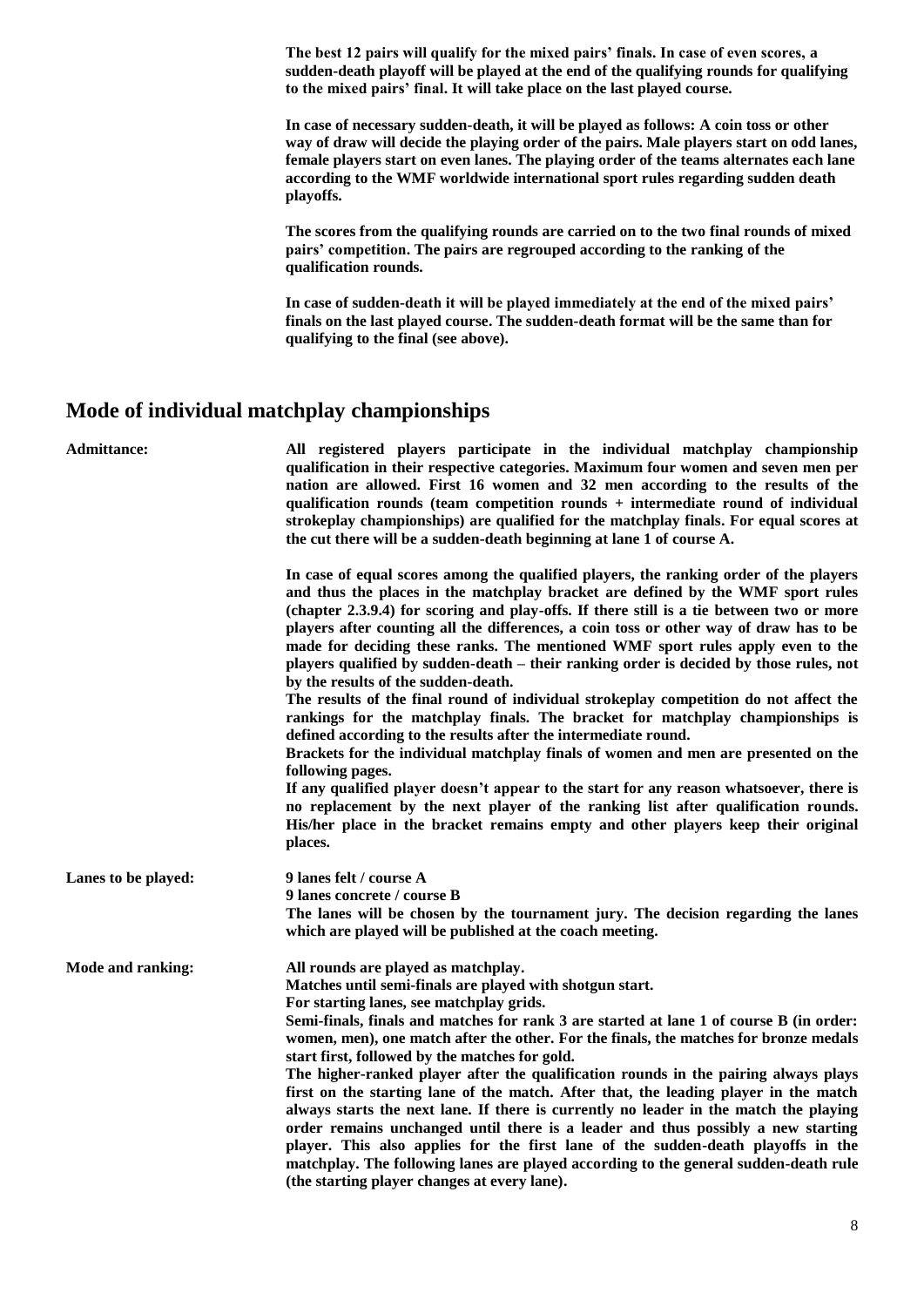**The best 12 pairs will qualify for the mixed pairs' finals. In case of even scores, a sudden-death playoff will be played at the end of the qualifying rounds for qualifying to the mixed pairs' final. It will take place on the last played course.**

**In case of necessary sudden-death, it will be played as follows: A coin toss or other way of draw will decide the playing order of the pairs. Male players start on odd lanes, female players start on even lanes. The playing order of the teams alternates each lane according to the WMF worldwide international sport rules regarding sudden death playoffs.**

**The scores from the qualifying rounds are carried on to the two final rounds of mixed pairs' competition. The pairs are regrouped according to the ranking of the qualification rounds.**

**In case of sudden-death it will be played immediately at the end of the mixed pairs' finals on the last played course. The sudden-death format will be the same than for qualifying to the final (see above).**

### **Mode of individual matchplay championships**

| Admittance:         | All registered players participate in the individual matchplay championship<br>qualification in their respective categories. Maximum four women and seven men per<br>nation are allowed. First 16 women and 32 men according to the results of the<br>qualification rounds (team competition rounds + intermediate round of individual<br>strokeplay championships) are qualified for the matchplay finals. For equal scores at<br>the cut there will be a sudden-death beginning at lane 1 of course A.                                                                                                                                                                                                                                                                                                                                                                                                                                                                  |
|---------------------|---------------------------------------------------------------------------------------------------------------------------------------------------------------------------------------------------------------------------------------------------------------------------------------------------------------------------------------------------------------------------------------------------------------------------------------------------------------------------------------------------------------------------------------------------------------------------------------------------------------------------------------------------------------------------------------------------------------------------------------------------------------------------------------------------------------------------------------------------------------------------------------------------------------------------------------------------------------------------|
|                     | In case of equal scores among the qualified players, the ranking order of the players<br>and thus the places in the matchplay bracket are defined by the WMF sport rules<br>(chapter 2.3.9.4) for scoring and play-offs. If there still is a tie between two or more<br>players after counting all the differences, a coin toss or other way of draw has to be<br>made for deciding these ranks. The mentioned WMF sport rules apply even to the<br>players qualified by sudden-death – their ranking order is decided by those rules, not<br>by the results of the sudden-death.<br>The results of the final round of individual strokeplay competition do not affect the<br>rankings for the matchplay finals. The bracket for matchplay championships is<br>defined according to the results after the intermediate round.                                                                                                                                             |
|                     | Brackets for the individual matchplay finals of women and men are presented on the<br>following pages.<br>If any qualified player doesn't appear to the start for any reason whatsoever, there is<br>no replacement by the next player of the ranking list after qualification rounds.<br>His/her place in the bracket remains empty and other players keep their original<br>places.                                                                                                                                                                                                                                                                                                                                                                                                                                                                                                                                                                                     |
| Lanes to be played: | 9 lanes felt / course A<br>9 lanes concrete / course B<br>The lanes will be chosen by the tournament jury. The decision regarding the lanes<br>which are played will be published at the coach meeting.                                                                                                                                                                                                                                                                                                                                                                                                                                                                                                                                                                                                                                                                                                                                                                   |
| Mode and ranking:   | All rounds are played as matchplay.<br>Matches until semi-finals are played with shotgun start.<br>For starting lanes, see matchplay grids.<br>Semi-finals, finals and matches for rank 3 are started at lane 1 of course B (in order:<br>women, men), one match after the other. For the finals, the matches for bronze medals<br>start first, followed by the matches for gold.<br>The higher-ranked player after the qualification rounds in the pairing always plays<br>first on the starting lane of the match. After that, the leading player in the match<br>always starts the next lane. If there is currently no leader in the match the playing<br>order remains unchanged until there is a leader and thus possibly a new starting<br>player. This also applies for the first lane of the sudden-death playoffs in the<br>matchplay. The following lanes are played according to the general sudden-death rule<br>(the starting player changes at every lane). |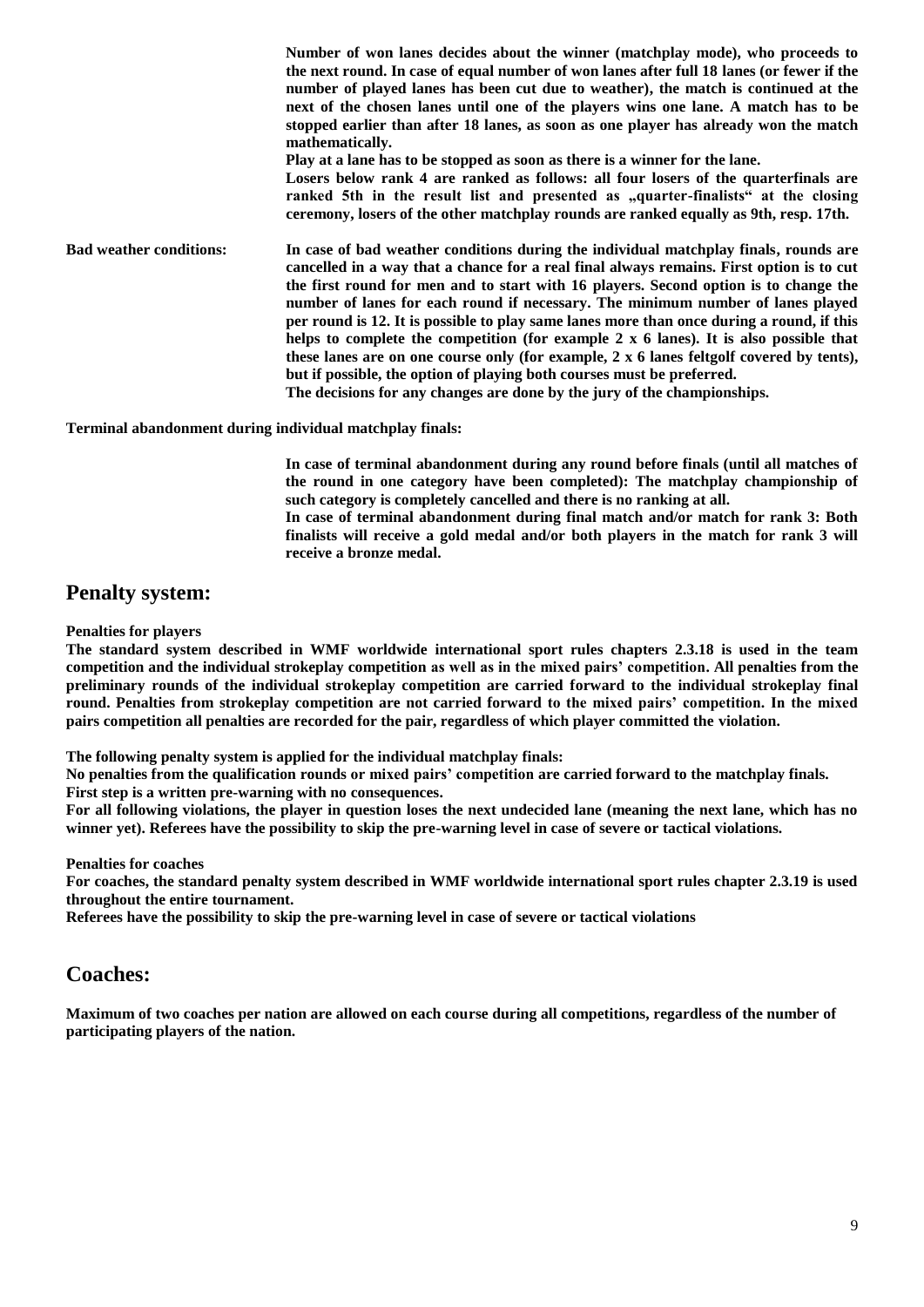**Number of won lanes decides about the winner (matchplay mode), who proceeds to the next round. In case of equal number of won lanes after full 18 lanes (or fewer if the number of played lanes has been cut due to weather), the match is continued at the next of the chosen lanes until one of the players wins one lane. A match has to be stopped earlier than after 18 lanes, as soon as one player has already won the match mathematically. Play at a lane has to be stopped as soon as there is a winner for the lane. Losers below rank 4 are ranked as follows: all four losers of the quarterfinals are**  ranked 5th in the result list and presented as "quarter-finalists" at the closing **ceremony, losers of the other matchplay rounds are ranked equally as 9th, resp. 17th. Bad weather conditions: In case of bad weather conditions during the individual matchplay finals, rounds are cancelled in a way that a chance for a real final always remains. First option is to cut the first round for men and to start with 16 players. Second option is to change the number of lanes for each round if necessary. The minimum number of lanes played per round is 12. It is possible to play same lanes more than once during a round, if this helps to complete the competition (for example 2 x 6 lanes). It is also possible that these lanes are on one course only (for example, 2 x 6 lanes feltgolf covered by tents), but if possible, the option of playing both courses must be preferred. The decisions for any changes are done by the jury of the championships.**

**Terminal abandonment during individual matchplay finals:** 

**In case of terminal abandonment during any round before finals (until all matches of the round in one category have been completed): The matchplay championship of such category is completely cancelled and there is no ranking at all.** 

**In case of terminal abandonment during final match and/or match for rank 3: Both finalists will receive a gold medal and/or both players in the match for rank 3 will receive a bronze medal.**

### **Penalty system:**

#### **Penalties for players**

**The standard system described in WMF worldwide international sport rules chapters 2.3.18 is used in the team competition and the individual strokeplay competition as well as in the mixed pairs' competition. All penalties from the preliminary rounds of the individual strokeplay competition are carried forward to the individual strokeplay final round. Penalties from strokeplay competition are not carried forward to the mixed pairs' competition. In the mixed pairs competition all penalties are recorded for the pair, regardless of which player committed the violation.**

**The following penalty system is applied for the individual matchplay finals:**

**No penalties from the qualification rounds or mixed pairs' competition are carried forward to the matchplay finals. First step is a written pre-warning with no consequences.**

**For all following violations, the player in question loses the next undecided lane (meaning the next lane, which has no winner yet). Referees have the possibility to skip the pre-warning level in case of severe or tactical violations.**

**Penalties for coaches**

**For coaches, the standard penalty system described in WMF worldwide international sport rules chapter 2.3.19 is used throughout the entire tournament.**

**Referees have the possibility to skip the pre-warning level in case of severe or tactical violations**

### **Coaches:**

**Maximum of two coaches per nation are allowed on each course during all competitions, regardless of the number of participating players of the nation.**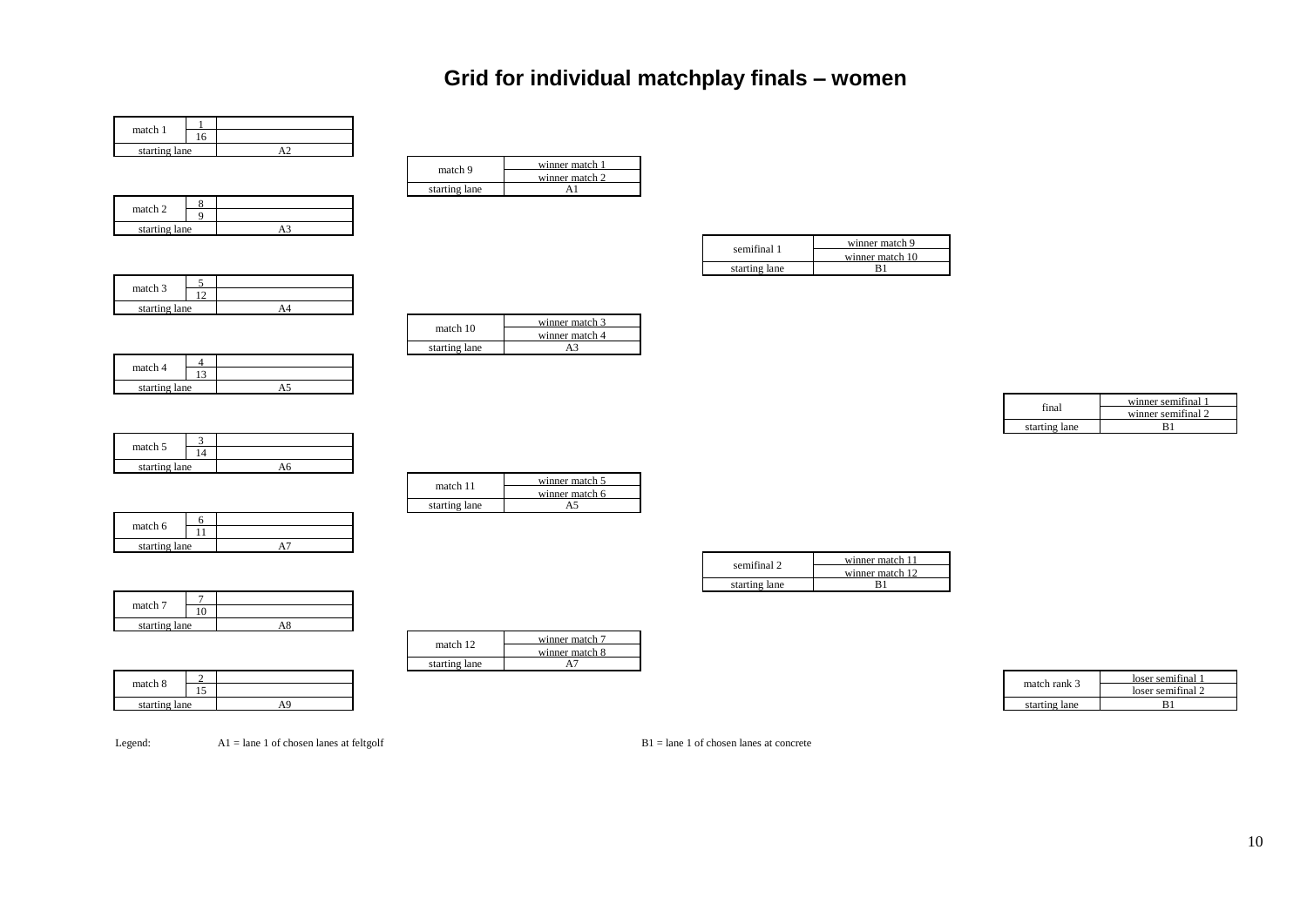# **Grid for individual matchplay finals – women**

| match 1       |  |  |
|---------------|--|--|
| starting lane |  |  |

| match 2       |  |  |
|---------------|--|--|
| starting lane |  |  |

| match 9       | winner match 1 |
|---------------|----------------|
|               | winner match 2 |
| starting lane |                |

| semifinal 1   | winner match 9  |
|---------------|-----------------|
|               | winner match 10 |
| starting lane |                 |

| match 3       |  |  |
|---------------|--|--|
| starting lane |  |  |

| match 4       |  |  |
|---------------|--|--|
| starting lane |  |  |

| match 10      | winner match 3 |
|---------------|----------------|
|               | winner match 4 |
| starting lane |                |
|               |                |

| inal          | winner semifinal 1 |
|---------------|--------------------|
|               | winner semifinal 2 |
| starting lane |                    |

| match 5       |  |
|---------------|--|
| starting lane |  |

| match 11      | winner match 5 |
|---------------|----------------|
|               | winner match 6 |
| starting lane |                |

| semifinal 2   | winner match 11 |
|---------------|-----------------|
|               | winner match 12 |
| starting lane |                 |

| match 7       |    |  |
|---------------|----|--|
|               | 10 |  |
| starting lane |    |  |

|                            |        | starting lane |  |              |                            |
|----------------------------|--------|---------------|--|--------------|----------------------------|
|                            |        |               |  |              | ∶ semitina<br><b>TOSET</b> |
| match 8                    |        |               |  | match rank 3 | semitinai                  |
| $\cdots$ $\cdots$ $\cdots$ | $\sim$ |               |  |              | T <sub>2</sub>             |

| winner match 8 |
|----------------|
|                |
|                |

|               |     |         | starting iant |  |               |                      |
|---------------|-----|---------|---------------|--|---------------|----------------------|
|               |     |         |               |  |               | : semitinal<br>10SC. |
| atch 8        | . . |         |               |  | match rank 3  | ioser<br>semitinal   |
| starting lane |     | AΩ<br>. |               |  | starting lane | D<br>БI              |

match 6  $\frac{6}{11}$ 

11 starting lane A7

Legend: A1 = lane 1 of chosen lanes at feltgolf B1 = lane 1 of chosen lanes at concrete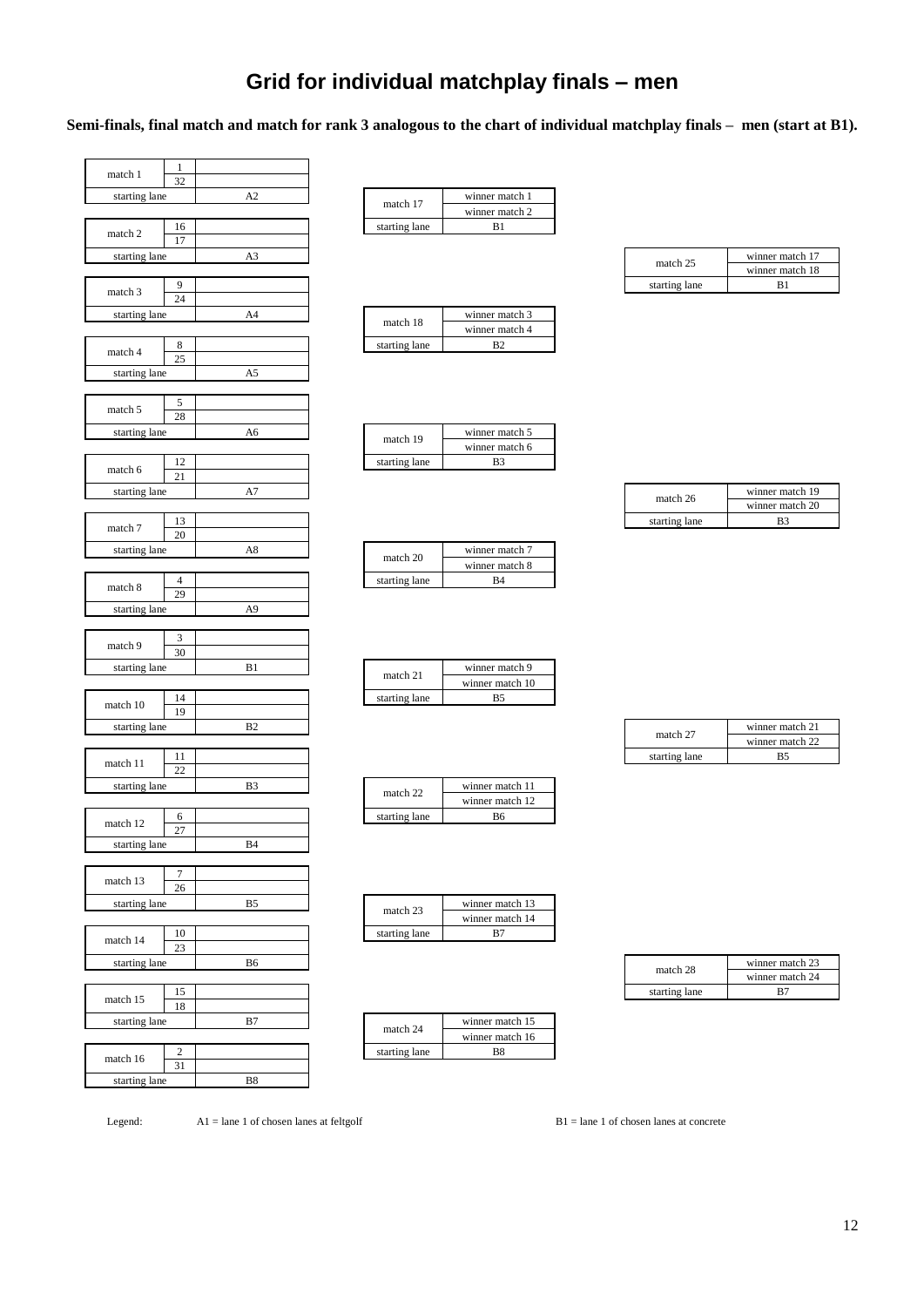# **Grid for individual matchplay finals – men**

**Semi-finals, final match and match for rank 3 analogous to the chart of individual matchplay finals – men (start at B1).**

| match 1       | 1                |                |               |                                  |               |                                   |
|---------------|------------------|----------------|---------------|----------------------------------|---------------|-----------------------------------|
|               | 32               |                |               |                                  |               |                                   |
| starting lane |                  | A2             | match 17      | winner match 1<br>winner match 2 |               |                                   |
|               | 16               |                | starting lane | B1                               |               |                                   |
| match 2       | 17               |                |               |                                  |               |                                   |
| starting lane |                  | A3             |               |                                  |               | winner match 17                   |
|               |                  |                |               |                                  | match 25      | winner match 18                   |
| match 3       | 9                |                |               |                                  | starting lane | B1                                |
|               | $\overline{24}$  |                |               |                                  |               |                                   |
| starting lane |                  | A4             | match 18      | winner match 3                   |               |                                   |
|               |                  |                |               | winner match 4                   |               |                                   |
| match 4       | 8                |                | starting lane | B2                               |               |                                   |
|               | 25               |                |               |                                  |               |                                   |
| starting lane |                  | A5             |               |                                  |               |                                   |
|               |                  |                |               |                                  |               |                                   |
| match 5       | 5<br>28          |                |               |                                  |               |                                   |
|               |                  |                |               |                                  |               |                                   |
| starting lane |                  | A6             | match 19      | winner match 5                   |               |                                   |
|               |                  |                |               | winner match 6                   |               |                                   |
| match 6       | 12<br>21         |                | starting lane | B <sub>3</sub>                   |               |                                   |
| starting lane |                  | A7             |               |                                  |               | winner match 19                   |
|               |                  |                |               |                                  | match 26      | winner match 20                   |
|               | 13               |                |               |                                  | starting lane | B <sub>3</sub>                    |
| match 7       | 20               |                |               |                                  |               |                                   |
| starting lane |                  | A8             |               | winner match 7                   |               |                                   |
|               |                  |                | match 20      | winner match 8                   |               |                                   |
|               | $\overline{4}$   |                | starting lane | B4                               |               |                                   |
| match 8       | 29               |                |               |                                  |               |                                   |
| starting lane |                  | A <sub>9</sub> |               |                                  |               |                                   |
|               |                  |                |               |                                  |               |                                   |
| match 9       | 3                |                |               |                                  |               |                                   |
|               | 30               |                |               |                                  |               |                                   |
| starting lane |                  | B1             | match 21      | winner match 9                   |               |                                   |
|               |                  |                |               | winner match 10                  |               |                                   |
| match 10      | 14               |                | starting lane | B5                               |               |                                   |
|               | 19               |                |               |                                  |               |                                   |
| starting lane |                  | B2             |               |                                  | match 27      | winner match 21                   |
|               | 11               |                |               |                                  |               | winner match 22<br>B <sub>5</sub> |
| match 11      | 22               |                |               |                                  | starting lane |                                   |
| starting lane |                  | B <sub>3</sub> |               | winner match 11                  |               |                                   |
|               |                  |                | match 22      | winner match 12                  |               |                                   |
|               | 6                |                | starting lane | B <sub>6</sub>                   |               |                                   |
| match 12      | 27               |                |               |                                  |               |                                   |
| starting lane |                  | <b>B4</b>      |               |                                  |               |                                   |
|               |                  |                |               |                                  |               |                                   |
|               | $\tau$           |                |               |                                  |               |                                   |
| match 13      | 26               |                |               |                                  |               |                                   |
| starting lane |                  | B5             | match 23      | winner match 13                  |               |                                   |
|               |                  |                |               | winner match 14                  |               |                                   |
| match 14      | 10               |                | starting lane | B7                               |               |                                   |
|               | 23               |                |               |                                  |               |                                   |
| starting lane |                  | B6             |               |                                  | match 28      | winner match 23                   |
|               |                  |                |               |                                  |               | winner match 24                   |
| match 15      | 15               |                |               |                                  | starting lane | B7                                |
|               | 18               |                |               |                                  |               |                                   |
| starting lane |                  | B7             | match 24      | winner match 15                  |               |                                   |
|               |                  |                |               | winner match 16                  |               |                                   |
| match 16      | $\sqrt{2}$<br>31 |                | starting lane | B8                               |               |                                   |
| starting lane |                  | $_{\rm B8}$    |               |                                  |               |                                   |
|               |                  |                |               |                                  |               |                                   |

| match 17      | winner match 1 |
|---------------|----------------|
|               | winner match 2 |
| starting lane | R 1            |

| match 18      | winner match 3 |
|---------------|----------------|
|               | winner match 4 |
| starting lane |                |

| match 19      | winner match 5 |
|---------------|----------------|
|               | winner match 6 |
| starting lane |                |

|               | winner match 7 |
|---------------|----------------|
| match 20      | winner match 8 |
| starting lane |                |

| match 21      | winner match 9  |
|---------------|-----------------|
|               | winner match 10 |
| starting lane |                 |

| match 22      | winner match 11 |
|---------------|-----------------|
|               | winner match 12 |
| starting lane |                 |

| match 23      | winner match 13 |
|---------------|-----------------|
|               | winner match 14 |
| starting lane | R7              |

| match 24      | winner match 15 |  |
|---------------|-----------------|--|
|               | winner match 16 |  |
| starting lane | R <sub>8</sub>  |  |

| match 25      | winner match 17 |
|---------------|-----------------|
|               | winner match 18 |
| starting lane |                 |

| match 26      | winner match 19 |
|---------------|-----------------|
|               | winner match 20 |
| starting lane | R٩              |

| match 27      | winner match 21 |
|---------------|-----------------|
|               | winner match 22 |
| starting lane | R5              |

| match 28      | winner match 23 |
|---------------|-----------------|
|               | winner match 24 |
| starting lane |                 |

Legend: A1 = lane 1 of chosen lanes at feltgolf B1 = lane 1 of chosen lanes at concrete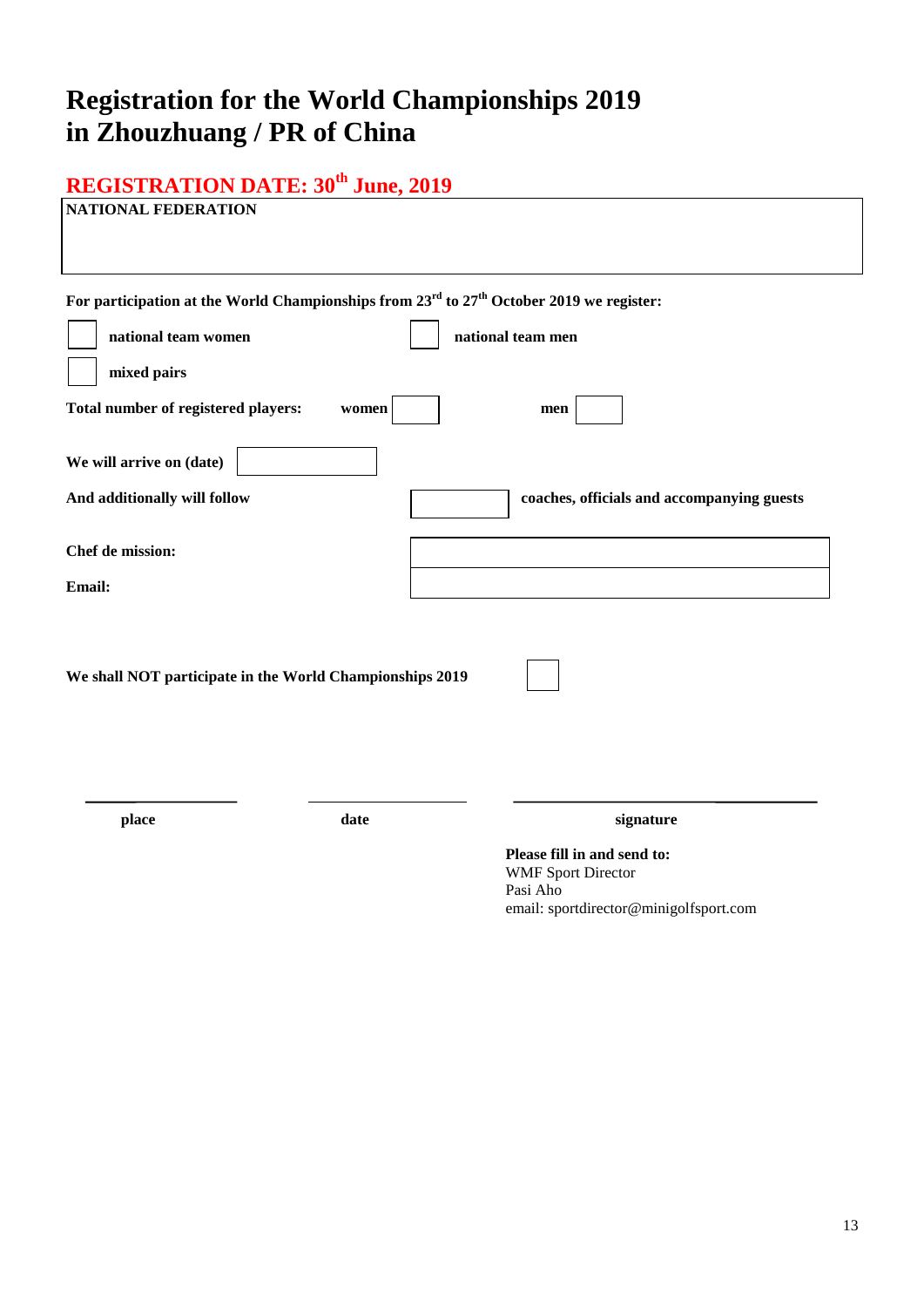# **Registration for the World Championships 2019 in Zhouzhuang / PR of China**

# **REGISTRATION DATE: 30th June, 2019**

| <b>NATIONAL FEDERATION</b>                                                                                                                                                                             |                                                                                                                             |
|--------------------------------------------------------------------------------------------------------------------------------------------------------------------------------------------------------|-----------------------------------------------------------------------------------------------------------------------------|
| For participation at the World Championships from 23 <sup>rd</sup> to 27 <sup>th</sup> October 2019 we register:<br>national team women<br>mixed pairs<br>Total number of registered players:<br>women | national team men<br>men                                                                                                    |
| We will arrive on (date)                                                                                                                                                                               |                                                                                                                             |
| And additionally will follow                                                                                                                                                                           | coaches, officials and accompanying guests                                                                                  |
| Chef de mission:<br>Email:                                                                                                                                                                             |                                                                                                                             |
| We shall NOT participate in the World Championships 2019                                                                                                                                               |                                                                                                                             |
| date<br>place                                                                                                                                                                                          | signature<br>Please fill in and send to:<br><b>WMF Sport Director</b><br>Pasi Aho<br>email: sportdirector@minigolfsport.com |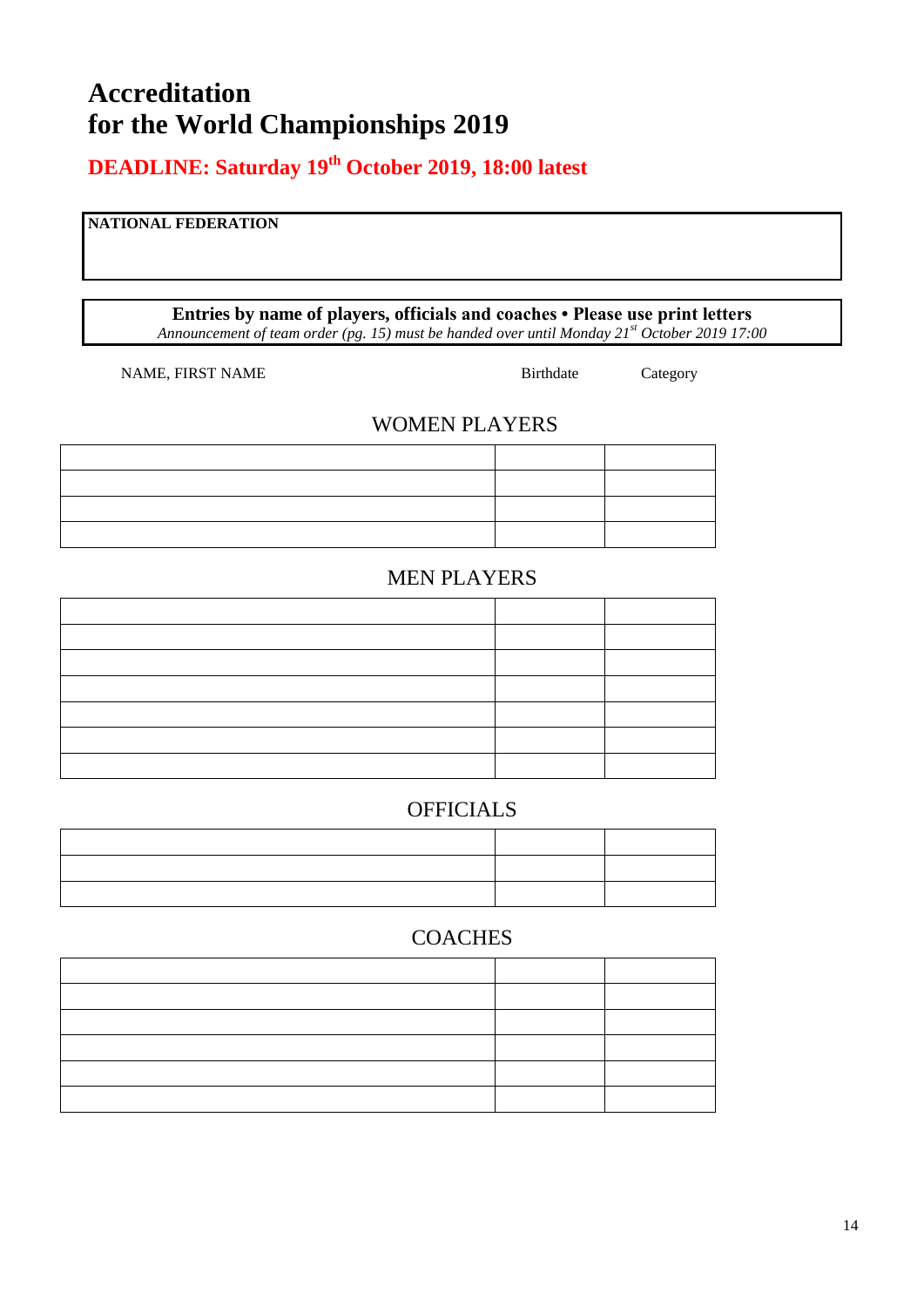# **Accreditation for the World Championships 2019**

**DEADLINE: Saturday 19 th October 2019, 18:00 latest**

### **NATIONAL FEDERATION**

**Entries by name of players, officials and coaches • Please use print letters** *Announcement of team order (pg. 15) must be handed over until Monday 21st October 2019 17:00*

NAME, FIRST NAME Birthdate Category

### WOMEN PLAYERS

### MEN PLAYERS

### **OFFICIALS**

### COACHES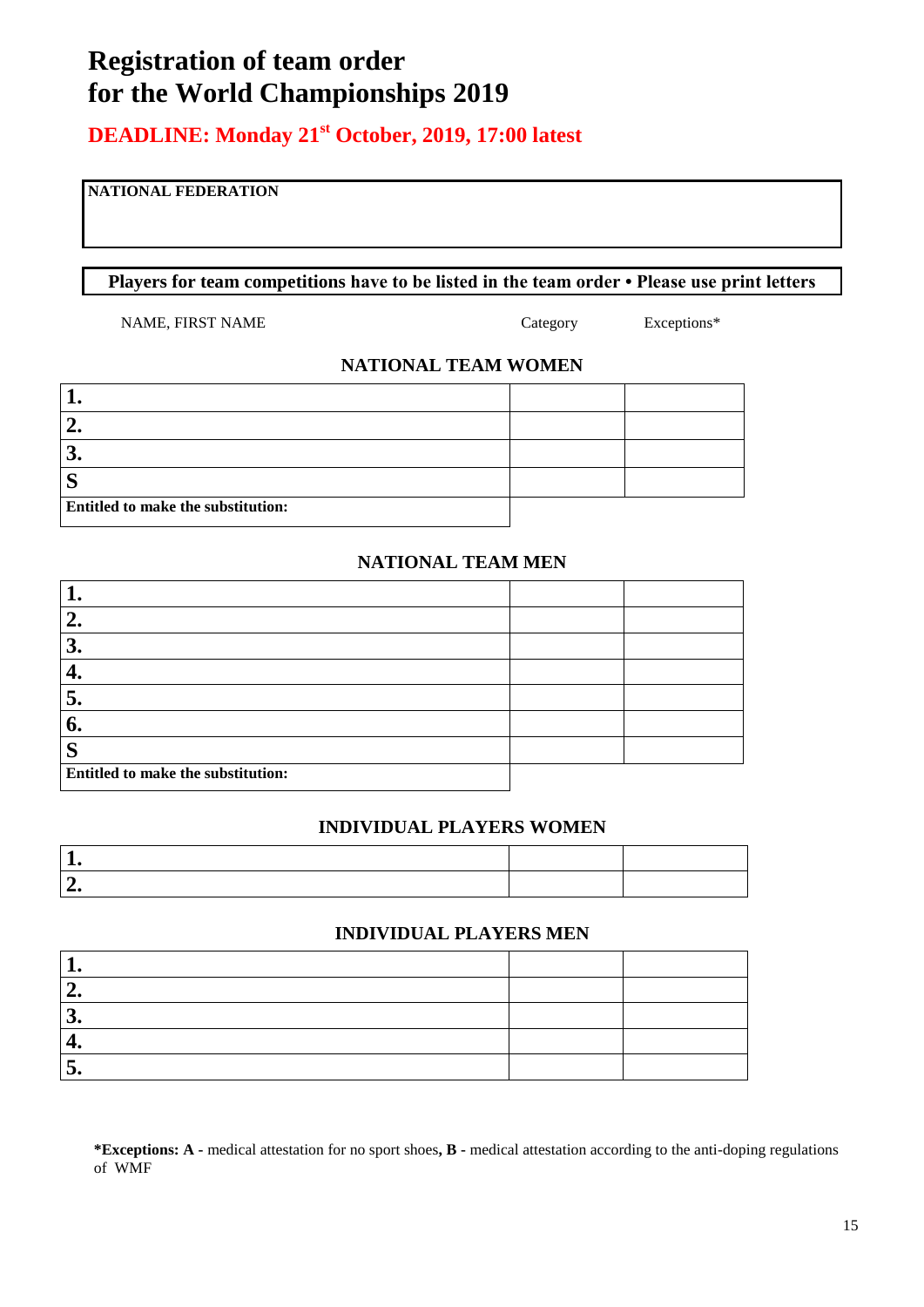# **Registration of team order for the World Championships 2019**

### **DEADLINE: Monday 21st October, 2019, 17:00 latest**

### **NATIONAL FEDERATION**

**Players for team competitions have to be listed in the team order • Please use print letters**

NAME, FIRST NAME Category Exceptions\*

### **NATIONAL TEAM WOMEN**

| $\overline{\phantom{a}}$           |  |
|------------------------------------|--|
| ി<br>$\mathbf{v}$                  |  |
| $\mathbf C$<br>D                   |  |
| Entitled to make the substitution: |  |

### **NATIONAL TEAM MEN**

| 2.                                 |  |
|------------------------------------|--|
| 3.                                 |  |
|                                    |  |
| 5.                                 |  |
| 6.                                 |  |
| $\mathbf C$<br>S                   |  |
| Entitled to make the substitution: |  |

### **INDIVIDUAL PLAYERS WOMEN**

### **INDIVIDUAL PLAYERS MEN**

| £                |  |
|------------------|--|
| $\sqrt{2}$<br>s. |  |
|                  |  |
| ~                |  |

**\*Exceptions: A -** medical attestation for no sport shoes**, B -** medical attestation according to the anti-doping regulations of WMF